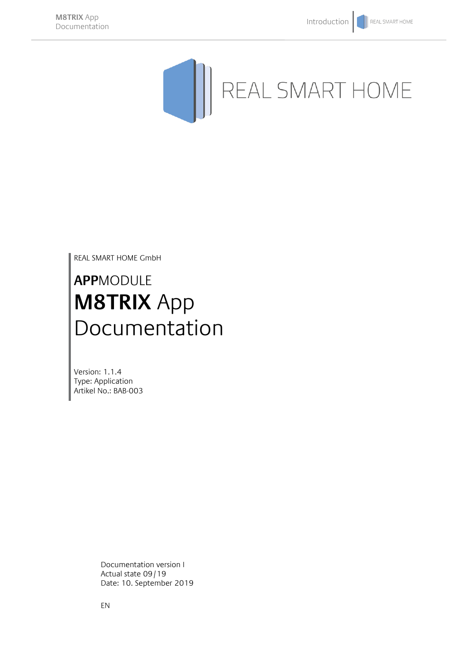

REAL SMART HOME GmbH

# **APP**MODULE **M8TRIX** App Documentation

Version: 1.1.4 Type: Application Artikel No.: BAB-003

> Documentation version I Actual state 09/19 Date: 10. September 2019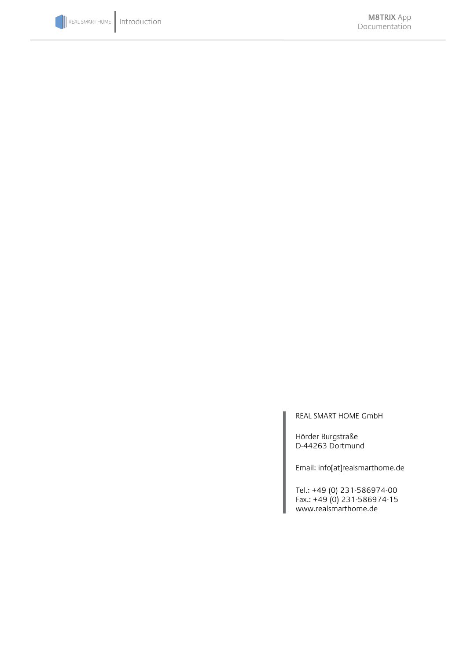

REAL SMART HOME GmbH

Hörder Burgstraße D-44263 Dortmund

Email: info[at]realsmarthome.de

Tel.: +49 (0) 231-586974-00 Fax.: +49 (0) 231-586974-15 www.realsmarthome.de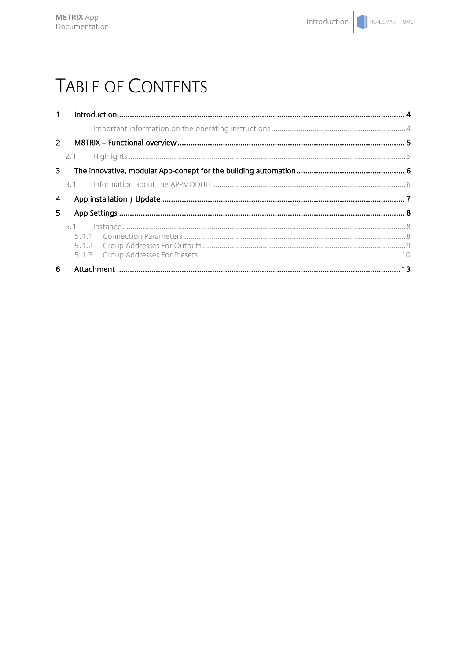# **TABLE OF CONTENTS**

| $1 -$       |     |  |  |  |  |  |
|-------------|-----|--|--|--|--|--|
|             |     |  |  |  |  |  |
| $2^{\circ}$ |     |  |  |  |  |  |
|             |     |  |  |  |  |  |
| 3           |     |  |  |  |  |  |
|             | 3.1 |  |  |  |  |  |
| 4           |     |  |  |  |  |  |
| 5.          |     |  |  |  |  |  |
|             | 5.1 |  |  |  |  |  |
|             |     |  |  |  |  |  |
| 6           |     |  |  |  |  |  |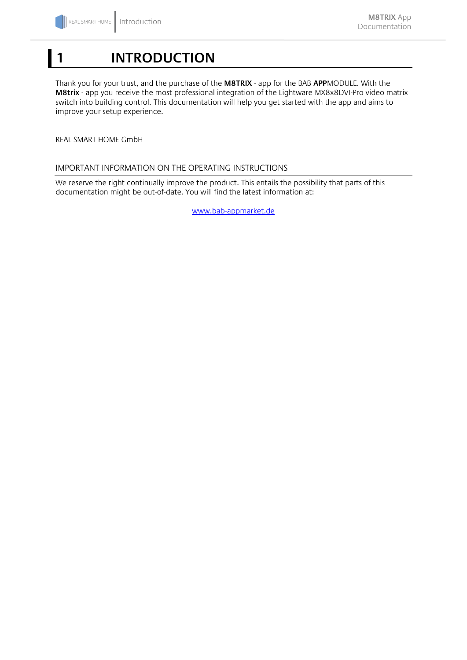## <span id="page-3-0"></span>**1 INTRODUCTION**

Thank you for your trust, and the purchase of the **M8TRIX** - app for the BAB **APP**MODULE. With the **M8trix** - app you receive the most professional integration of the Lightware MX8x8DVI-Pro video matrix switch into building control. This documentation will help you get started with the app and aims to improve your setup experience.

REAL SMART HOME GmbH

#### <span id="page-3-1"></span>IMPORTANT INFORMATION ON THE OPERATING INSTRUCTIONS

We reserve the right continually improve the product. This entails the possibility that parts of this documentation might be out-of-date. You will find the latest information at:

[www.bab-appmarket.de](http://www.bab-appmarket.de/)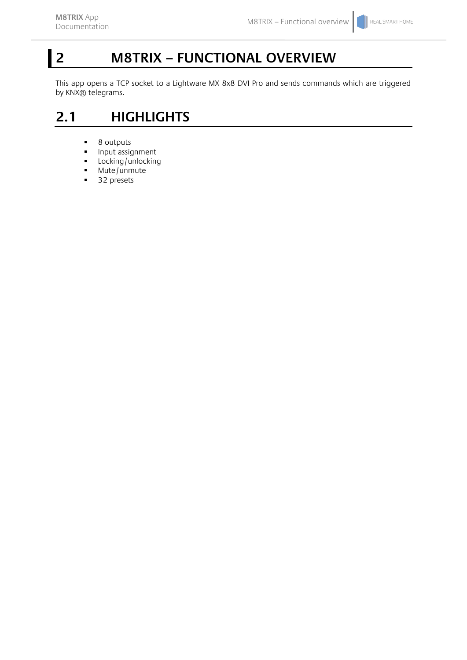# <span id="page-4-0"></span>**2 M8TRIX – FUNCTIONAL OVERVIEW**

This app opens a TCP socket to a Lightware MX 8x8 DVI Pro and sends commands which are triggered by KNX® telegrams.

## <span id="page-4-1"></span>**2.1 HIGHLIGHTS**

- 8 outputs<br>• Input assident
- Input assignment
- **-** Locking/unlocking
- $Mute/$ unmute
- 32 presets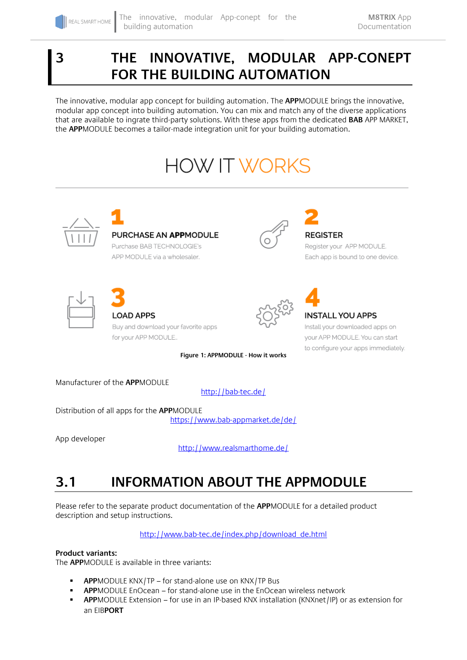### <span id="page-5-0"></span>**3 THE INNOVATIVE, MODULAR APP-CONEPT FOR THE BUILDING AUTOMATION**

The innovative, modular app concept for building automation. The **APP**MODULE brings the innovative, modular app concept into building automation. You can mix and match any of the diverse applications that are available to ingrate third-party solutions. With these apps from the dedicated **BAB** APP MARKET, the **APP**MODULE becomes a tailor-made integration unit for your building automation.

# **HOW IT WORKS**



<http://bab-tec.de/>

Distribution of all apps for the **APP**MODULE

<https://www.bab-appmarket.de/de/>

App developer

<http://www.realsmarthome.de/>

## <span id="page-5-1"></span>**3.1 INFORMATION ABOUT THE APPMODULE**

Please refer to the separate product documentation of the **APP**MODULE for a detailed product description and setup instructions.

[http://www.bab-tec.de/index.php/download\\_de.html](http://www.bab-tec.de/index.php/download_de.html)

#### **Product variants:**

The **APP**MODULE is available in three variants:

- **APP**MODULE KNX/TP for stand-alone use on KNX/TP Bus
- **APP**MODULE EnOcean for stand-alone use in the EnOcean wireless network
- **APP**MODULE Extension for use in an IP-based KNX installation (KNXnet/IP) or as extension for an EIB**PORT**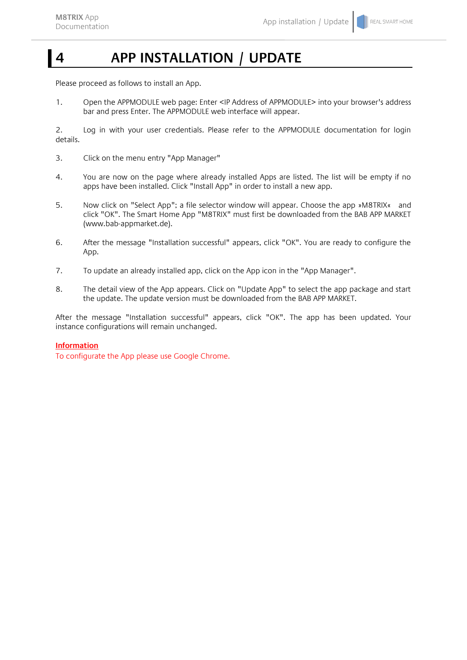## <span id="page-6-0"></span>**4 APP INSTALLATION / UPDATE**

Please proceed as follows to install an App.

1. Open the APPMODULE web page: Enter <IP Address of APPMODULE> into your browser's address bar and press Enter. The APPMODULE web interface will appear.

2. Log in with your user credentials. Please refer to the APPMODULE documentation for login details.

- 3. Click on the menu entry "App Manager"
- 4. You are now on the page where already installed Apps are listed. The list will be empty if no apps have been installed. Click "Install App" in order to install a new app.
- 5. Now click on "Select App"; a file selector window will appear. Choose the app »M8TRIX« and click "OK". The Smart Home App "M8TRIX" must first be downloaded from the BAB APP MARKET (www.bab-appmarket.de).
- 6. After the message "Installation successful" appears, click "OK". You are ready to configure the App.
- 7. To update an already installed app, click on the App icon in the "App Manager".
- 8. The detail view of the App appears. Click on "Update App" to select the app package and start the update. The update version must be downloaded from the BAB APP MARKET.

After the message "Installation successful" appears, click "OK". The app has been updated. Your instance configurations will remain unchanged.

#### **Information**

To configurate the App please use Google Chrome.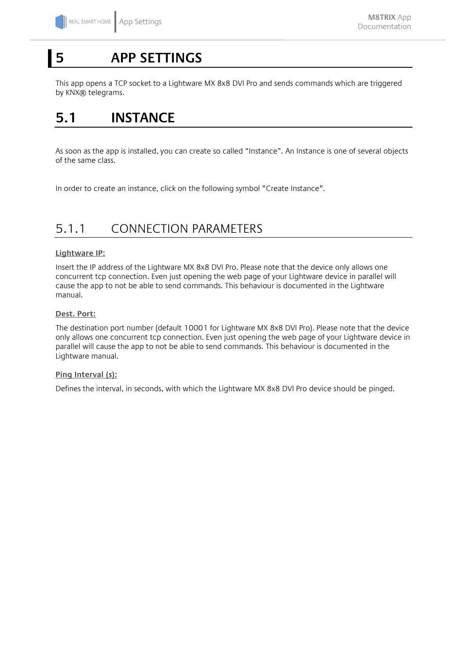## <span id="page-7-0"></span>**5 APP SETTINGS**

This app opens a TCP socket to a Lightware MX 8x8 DVI Pro and sends commands which are triggered by KNX® telegrams.

### <span id="page-7-1"></span>**5.1 INSTANCE**

As soon as the app is installed, you can create so called "Instance". An Instance is one of several objects of the same class.

In order to create an instance, click on the following symbol "Create Instance".

### <span id="page-7-2"></span>5.1.1 CONNECTION PARAMETERS

#### **Lightware IP:**

Insert the IP address of the Lightware MX 8x8 DVI Pro. Please note that the device only allows one concurrent tcp connection. Even just opening the web page of your Lightware device in parallel will cause the app to not be able to send commands. This behaviour is documented in the Lightware manual.

#### **Dest. Port:**

The destination port number (default 10001 for Lightware MX 8x8 DVI Pro). Please note that the device only allows one concurrent tcp connection. Even just opening the web page of your Lightware device in parallel will cause the app to not be able to send commands. This behaviour is documented in the Lightware manual.

#### **Ping Interval (s):**

Defines the interval, in seconds, with which the Lightware MX 8x8 DVI Pro device should be pinged.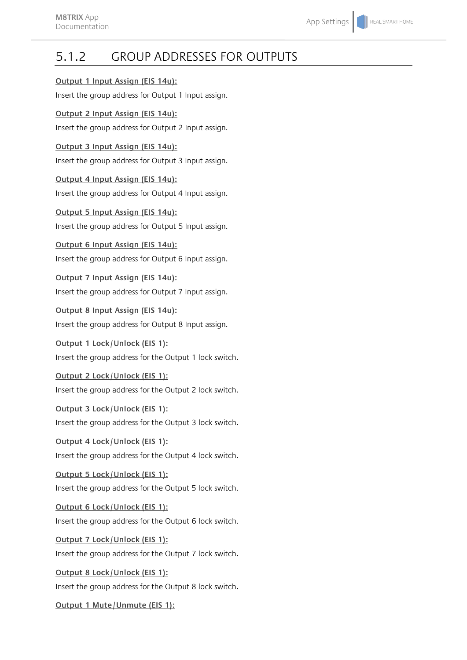### <span id="page-8-0"></span>5.1.2 GROUP ADDRESSES FOR OUTPUTS

#### **Output 1 Input Assign (EIS 14u):**

Insert the group address for Output 1 Input assign.

### **Output 2 Input Assign (EIS 14u):**

Insert the group address for Output 2 Input assign.

### **Output 3 Input Assign (EIS 14u):**

Insert the group address for Output 3 Input assign.

**Output 4 Input Assign (EIS 14u):** Insert the group address for Output 4 Input assign.

**Output 5 Input Assign (EIS 14u):** Insert the group address for Output 5 Input assign.

**Output 6 Input Assign (EIS 14u):** Insert the group address for Output 6 Input assign.

**Output 7 Input Assign (EIS 14u):** Insert the group address for Output 7 Input assign.

**Output 8 Input Assign (EIS 14u):** Insert the group address for Output 8 Input assign.

**Output 1 Lock/Unlock (EIS 1):** Insert the group address for the Output 1 lock switch.

**Output 2 Lock/Unlock (EIS 1):** Insert the group address for the Output 2 lock switch.

**Output 3 Lock/Unlock (EIS 1):** Insert the group address for the Output 3 lock switch.

**Output 4 Lock/Unlock (EIS 1):** Insert the group address for the Output 4 lock switch.

**Output 5 Lock/Unlock (EIS 1):** Insert the group address for the Output 5 lock switch.

**Output 6 Lock/Unlock (EIS 1):** Insert the group address for the Output 6 lock switch.

**Output 7 Lock/Unlock (EIS 1):** Insert the group address for the Output 7 lock switch.

**Output 8 Lock/Unlock (EIS 1):** Insert the group address for the Output 8 lock switch.

**Output 1 Mute/Unmute (EIS 1):**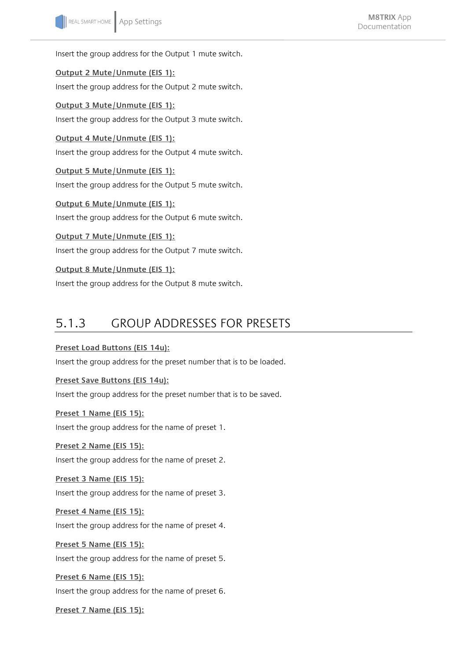Insert the group address for the Output 1 mute switch.

**Output 2 Mute/Unmute (EIS 1):** Insert the group address for the Output 2 mute switch.

**Output 3 Mute/Unmute (EIS 1):** Insert the group address for the Output 3 mute switch.

**Output 4 Mute/Unmute (EIS 1):** Insert the group address for the Output 4 mute switch.

**Output 5 Mute/Unmute (EIS 1):** Insert the group address for the Output 5 mute switch.

**Output 6 Mute/Unmute (EIS 1):** Insert the group address for the Output 6 mute switch.

**Output 7 Mute/Unmute (EIS 1):** Insert the group address for the Output 7 mute switch.

**Output 8 Mute/Unmute (EIS 1):** Insert the group address for the Output 8 mute switch.

### <span id="page-9-0"></span>5.1.3 GROUP ADDRESSES FOR PRESETS

### **Preset Load Buttons (EIS 14u):**

Insert the group address for the preset number that is to be loaded.

**Preset Save Buttons (EIS 14u):**

Insert the group address for the preset number that is to be saved.

**Preset 1 Name (EIS 15):**

Insert the group address for the name of preset 1.

**Preset 2 Name (EIS 15):** Insert the group address for the name of preset 2.

**Preset 3 Name (EIS 15):** Insert the group address for the name of preset 3.

**Preset 4 Name (EIS 15):** Insert the group address for the name of preset 4.

**Preset 5 Name (EIS 15):** Insert the group address for the name of preset 5.

**Preset 6 Name (EIS 15):** Insert the group address for the name of preset 6.

**Preset 7 Name (EIS 15):**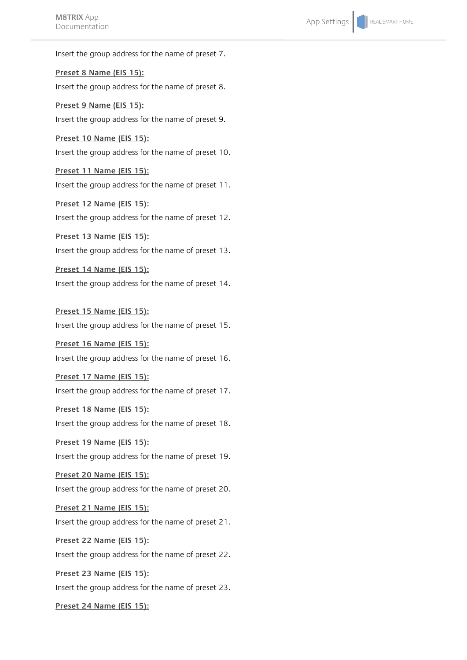**MOTRIZAPP**<br>Documentation **App Settings** Insert the group address for the name of preset 7. **Preset 8 Name (EIS 15):** Insert the group address for the name of preset 8. **Preset 9 Name (EIS 15):** Insert the group address for the name of preset 9. **Preset 10 Name (EIS 15):** Insert the group address for the name of preset 10. **Preset 11 Name (EIS 15):** Insert the group address for the name of preset 11. **Preset 12 Name (EIS 15):** Insert the group address for the name of preset 12. **Preset 13 Name (EIS 15):** Insert the group address for the name of preset 13. **Preset 14 Name (EIS 15):** Insert the group address for the name of preset 14. **Preset 15 Name (EIS 15):** Insert the group address for the name of preset 15. **Preset 16 Name (EIS 15):** Insert the group address for the name of preset 16. **Preset 17 Name (EIS 15):** Insert the group address for the name of preset 17. **Preset 18 Name (EIS 15):** Insert the group address for the name of preset 18. **Preset 19 Name (EIS 15):** Insert the group address for the name of preset 19. **Preset 20 Name (EIS 15):** Insert the group address for the name of preset 20. **Preset 21 Name (EIS 15):** Insert the group address for the name of preset 21. **Preset 22 Name (EIS 15):** Insert the group address for the name of preset 22. **Preset 23 Name (EIS 15):** Insert the group address for the name of preset 23.

**Preset 24 Name (EIS 15):**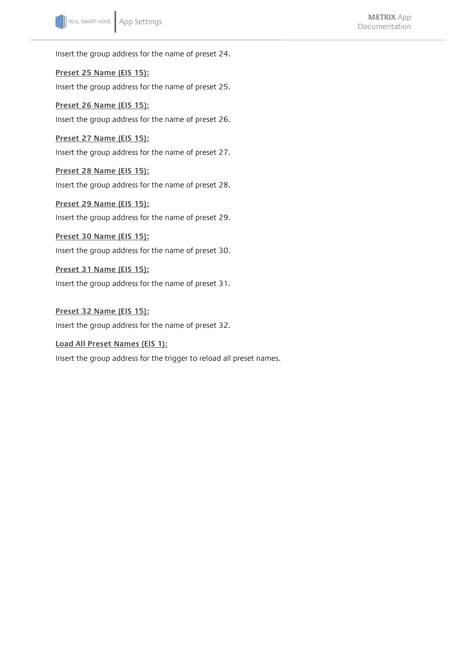Insert the group address for the name of preset 24.

**Preset 25 Name (EIS 15):** Insert the group address for the name of preset 25.

**Preset 26 Name (EIS 15):** Insert the group address for the name of preset 26.

**Preset 27 Name (EIS 15):** Insert the group address for the name of preset 27.

**Preset 28 Name (EIS 15):** Insert the group address for the name of preset 28.

**Preset 29 Name (EIS 15):** Insert the group address for the name of preset 29.

**Preset 30 Name (EIS 15):** Insert the group address for the name of preset 30.

**Preset 31 Name (EIS 15):** Insert the group address for the name of preset 31.

**Preset 32 Name (EIS 15):** Insert the group address for the name of preset 32.

**Load All Preset Names (EIS 1):** Insert the group address for the trigger to reload all preset names.